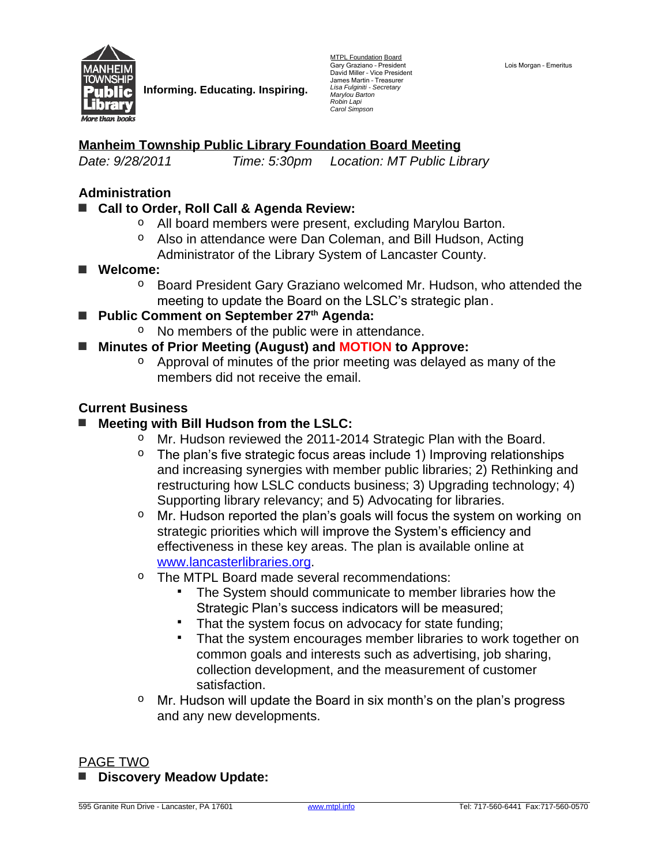

**Informing. Educating. Inspiring.**

MTPL Foundation Board Gary Graziano - President<br>David Miller - Vice President James Martin – Treasurer *Lisa Fulginiti - Secretary Marylou Barton Robin Lapi Carol Simpson*

# **Manheim Township Public Library Foundation Board Meeting**

*Date: 9/28/2011 Time: 5:30pm Location: MT Public Library*

### **Administration**

#### **■ Call to Order, Roll Call & Agenda Review:**

- o All board members were present, excluding Marylou Barton.
- o Also in attendance were Dan Coleman, and Bill Hudson, Acting Administrator of the Library System of Lancaster County.
- **■ Welcome:**
	- o Board President Gary Graziano welcomed Mr. Hudson, who attended the meeting to update the Board on the LSLC's strategic plan.
- **Public Comment on September 27<sup>th</sup> Agenda:** 
	- o No members of the public were in attendance.
- **■ Minutes of Prior Meeting (August) and MOTION to Approve:**
	- $\circ$  Approval of minutes of the prior meeting was delayed as many of the members did not receive the email.

#### **Current Business**

#### **■ Meeting with Bill Hudson from the LSLC:**

- o Mr. Hudson reviewed the 2011-2014 Strategic Plan with the Board.
- $\circ$  The plan's five strategic focus areas include 1) Improving relationships and increasing synergies with member public libraries; 2) Rethinking and restructuring how LSLC conducts business; 3) Upgrading technology; 4) Supporting library relevancy; and 5) Advocating for libraries.
- Mr. Hudson reported the plan's goals will focus the system on working on strategic priorities which will improve the System's efficiency and effectiveness in these key areas. The plan is available online at [www.lancasterlibraries.org.](http://www.lancasterlibraries.org)
- o The MTPL Board made several recommendations:
	- The System should communicate to member libraries how the Strategic Plan's success indicators will be measured;
	- That the system focus on advocacy for state funding;
	- That the system encourages member libraries to work together on common goals and interests such as advertising, job sharing, collection development, and the measurement of customer satisfaction.
- $\circ$  Mr. Hudson will update the Board in six month's on the plan's progress and any new developments.

#### PAGE TWO

**■ Discovery Meadow Update:**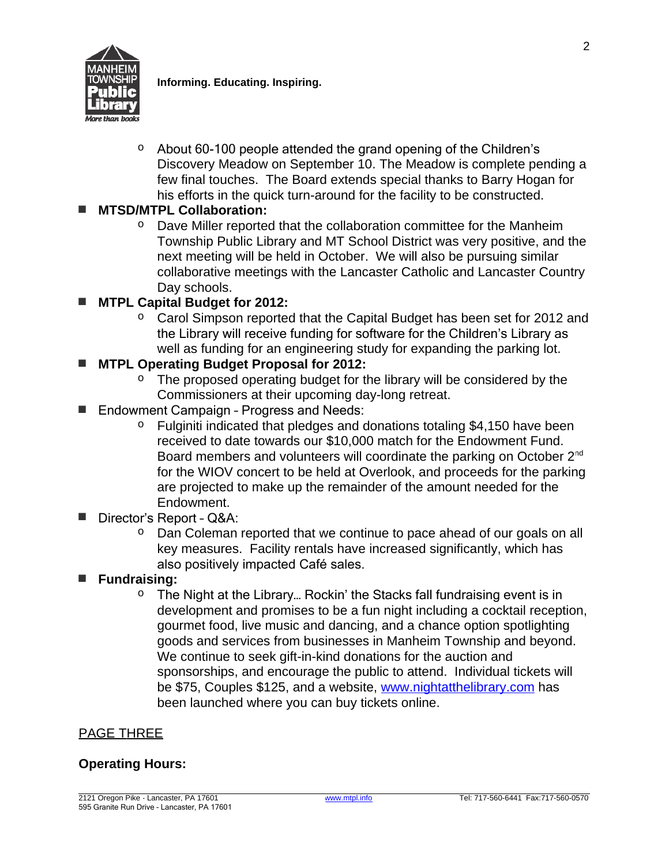

**Informing. Educating. Inspiring.**

 $\circ$  About 60-100 people attended the grand opening of the Children's Discovery Meadow on September 10. The Meadow is complete pending a few final touches. The Board extends special thanks to Barry Hogan for his efforts in the quick turn-around for the facility to be constructed.

### **■ MTSD/MTPL Collaboration:**

 $\circ$  Dave Miller reported that the collaboration committee for the Manheim Township Public Library and MT School District was very positive, and the next meeting will be held in October. We will also be pursuing similar collaborative meetings with the Lancaster Catholic and Lancaster Country Day schools.

## **■ MTPL Capital Budget for 2012:**

o Carol Simpson reported that the Capital Budget has been set for 2012 and the Library will receive funding for software for the Children's Library as well as funding for an engineering study for expanding the parking lot.

## **■ MTPL Operating Budget Proposal for 2012:**

- $\circ$  The proposed operating budget for the library will be considered by the Commissioners at their upcoming day-long retreat.
- Endowment Campaign Progress and Needs:
	- Fulginiti indicated that pledges and donations totaling \$4,150 have been received to date towards our \$10,000 match for the Endowment Fund. Board members and volunteers will coordinate the parking on October 2<sup>nd</sup> for the WIOV concert to be held at Overlook, and proceeds for the parking are projected to make up the remainder of the amount needed for the Endowment.
- **■** Director's Report Q&A:
	- $\circ$  Dan Coleman reported that we continue to pace ahead of our goals on all key measures. Facility rentals have increased significantly, which has also positively impacted Café sales.
- **■ Fundraising:** 
	- $\circ$  The Night at the Library... Rockin' the Stacks fall fundraising event is in development and promises to be a fun night including a cocktail reception, gourmet food, live music and dancing, and a chance option spotlighting goods and services from businesses in Manheim Township and beyond. We continue to seek gift-in-kind donations for the auction and sponsorships, and encourage the public to attend. Individual tickets will be \$75, Couples \$125, and a website, [www.nightatthelibrary.com](http://www.nightatthelibrary.com) has been launched where you can buy tickets online.

## PAGE THREE

#### **Operating Hours:**